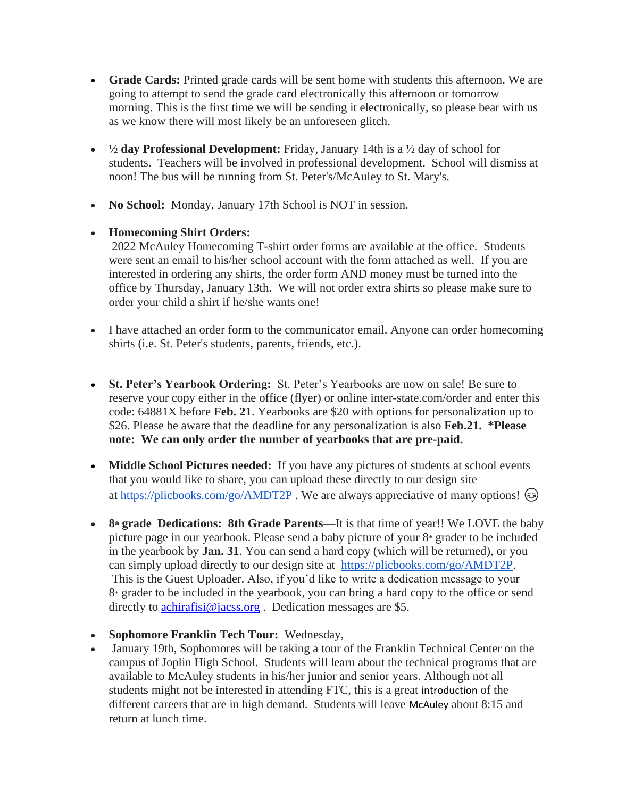- **Grade Cards:** Printed grade cards will be sent home with students this afternoon. We are going to attempt to send the grade card electronically this afternoon or tomorrow morning. This is the first time we will be sending it electronically, so please bear with us as we know there will most likely be an unforeseen glitch.
- **½ day Professional Development:** Friday, January 14th is a ½ day of school for students. Teachers will be involved in professional development. School will dismiss at noon! The bus will be running from St. Peter's/McAuley to St. Mary's.
- **No School:** Monday, January 17th School is NOT in session.
- **Homecoming Shirt Orders:**

2022 McAuley Homecoming T-shirt order forms are available at the office. Students were sent an email to his/her school account with the form attached as well. If you are interested in ordering any shirts, the order form AND money must be turned into the office by Thursday, January 13th. We will not order extra shirts so please make sure to order your child a shirt if he/she wants one!

- I have attached an order form to the communicator email. Anyone can order homecoming shirts (i.e. St. Peter's students, parents, friends, etc.).
- **St. Peter's Yearbook Ordering:** St. Peter's Yearbooks are now on sale! Be sure to reserve your copy either in the office (flyer) or online inter-state.com/order and enter this code: 64881X before **Feb. 21**. Yearbooks are \$20 with options for personalization up to \$26. Please be aware that the deadline for any personalization is also **Feb.21. \*Please note: We can only order the number of yearbooks that are pre-paid.**
- **Middle School Pictures needed:** If you have any pictures of students at school events that you would like to share, you can upload these directly to our design site at <https://plicbooks.com/go/AMDT2P>. We are always appreciative of many options!  $\odot$
- 8<sup>th</sup> **grade** Dedications: 8th Grade Parents—It is that time of year!! We LOVE the baby picture page in our yearbook. Please send a baby picture of your  $8<sup>th</sup>$  grader to be included in the yearbook by **Jan. 31**. You can send a hard copy (which will be returned), or you can simply upload directly to our design site at [https://plicbooks.com/go/AMDT2P.](https://plicbooks.com/go/AMDT2P) This is the Guest Uploader. Also, if you'd like to write a dedication message to your 8<sup>th</sup> grader to be included in the yearbook, you can bring a hard copy to the office or send directly to [achirafisi@jacss.org](mailto:achirafisi@jacss.org). Dedication messages are \$5.
- **Sophomore Franklin Tech Tour:** Wednesday,
- January 19th, Sophomores will be taking a tour of the Franklin Technical Center on the campus of Joplin High School. Students will learn about the technical programs that are available to McAuley students in his/her junior and senior years. Although not all students might not be interested in attending FTC, this is a great introduction of the different careers that are in high demand. Students will leave McAuley about 8:15 and return at lunch time.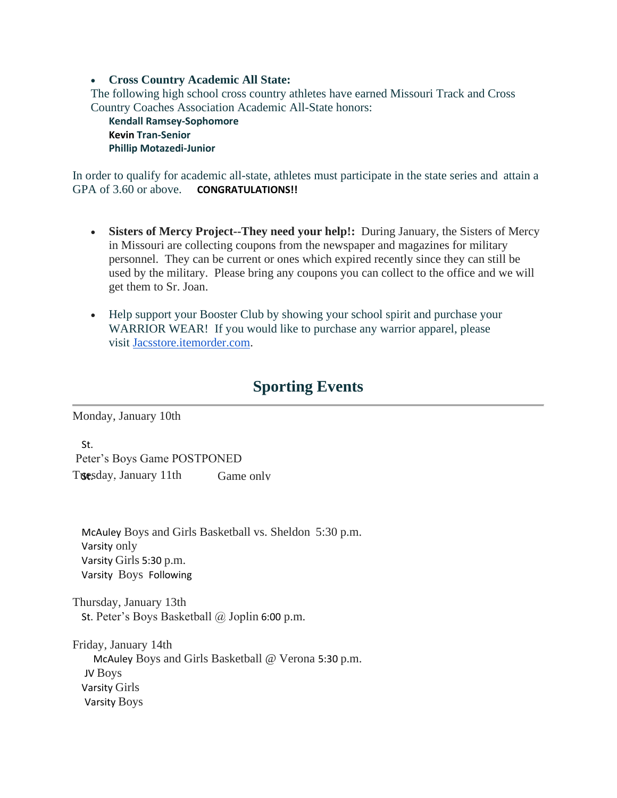#### • **Cross Country Academic All State:**

The following high school cross country athletes have earned Missouri Track and Cross Country Coaches Association Academic All-State honors:

**Kendall Ramsey-Sophomore Kevin Tran-Senior Phillip Motazedi-Junior**

In order to qualify for academic all-state, athletes must participate in the state series and attain a GPA of 3.60 or above. **CONGRATULATIONS!!**

- **Sisters of Mercy Project--They need your help!:** During January, the Sisters of Mercy in Missouri are collecting coupons from the newspaper and magazines for military personnel. They can be current or ones which expired recently since they can still be used by the military. Please bring any coupons you can collect to the office and we will get them to Sr. Joan.
- Help support your Booster Club by showing your school spirit and purchase your WARRIOR WEAR! If you would like to purchase any warrior apparel, please visit [Jacsstore.itemorder.com.](http://jacsstore.itemorder.com/)

# **Sporting Events**

Monday, January 10th

St. Peter's Boys Game POSTPONED Tuesday, January 11th Game only

McAuley Boys and Girls Basketball vs. Sheldon 5:30 p.m. Varsity only Varsity Girls 5:30 p.m. Varsity Boys Following

Thursday, January 13th St. Peter's Boys Basketball @ Joplin 6:00 p.m.

Friday, January 14th McAuley Boys and Girls Basketball @ Verona 5:30 p.m. JV Boys Varsity Girls Varsity Boys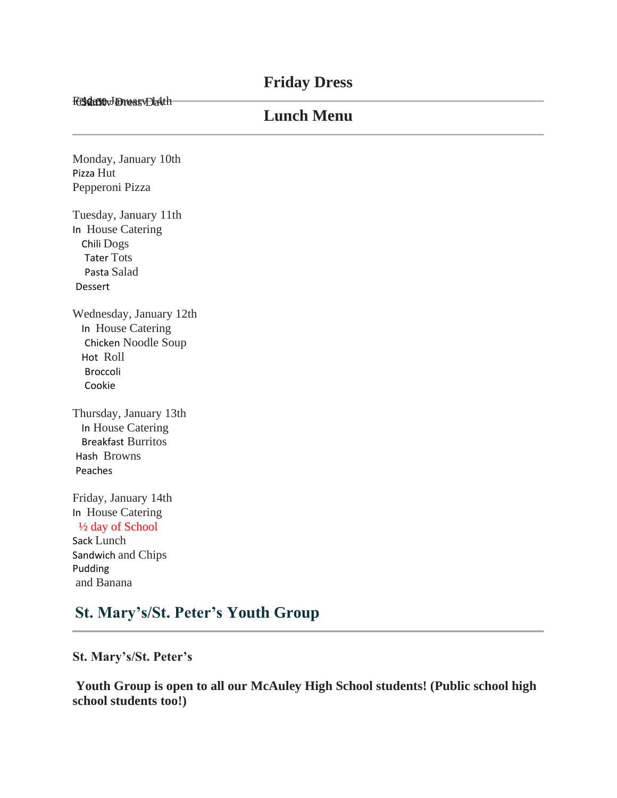### **Friday Dress**

Friday, January Lath

## **Lunch Menu**

Monday, January 10th Pizza Hut Pepperoni Pizza

Tuesday, January 11th In House Catering Chili Dogs Tater Tots Pasta Salad Dessert

Wednesday, January 12th In House Catering Chicken Noodle Soup Hot Roll Broccoli Cookie

Thursday, January 13th In House Catering Breakfast Burritos Hash Browns Peaches

Friday, January 14th In House Catering ½ day of School Sack Lunch Sandwich and Chips Pudding and Banana

# **St. Mary's/St. Peter's Youth Group**

**St. Mary's/St. Peter's**

**Youth Group is open to all our McAuley High School students! (Public school high school students too!)**